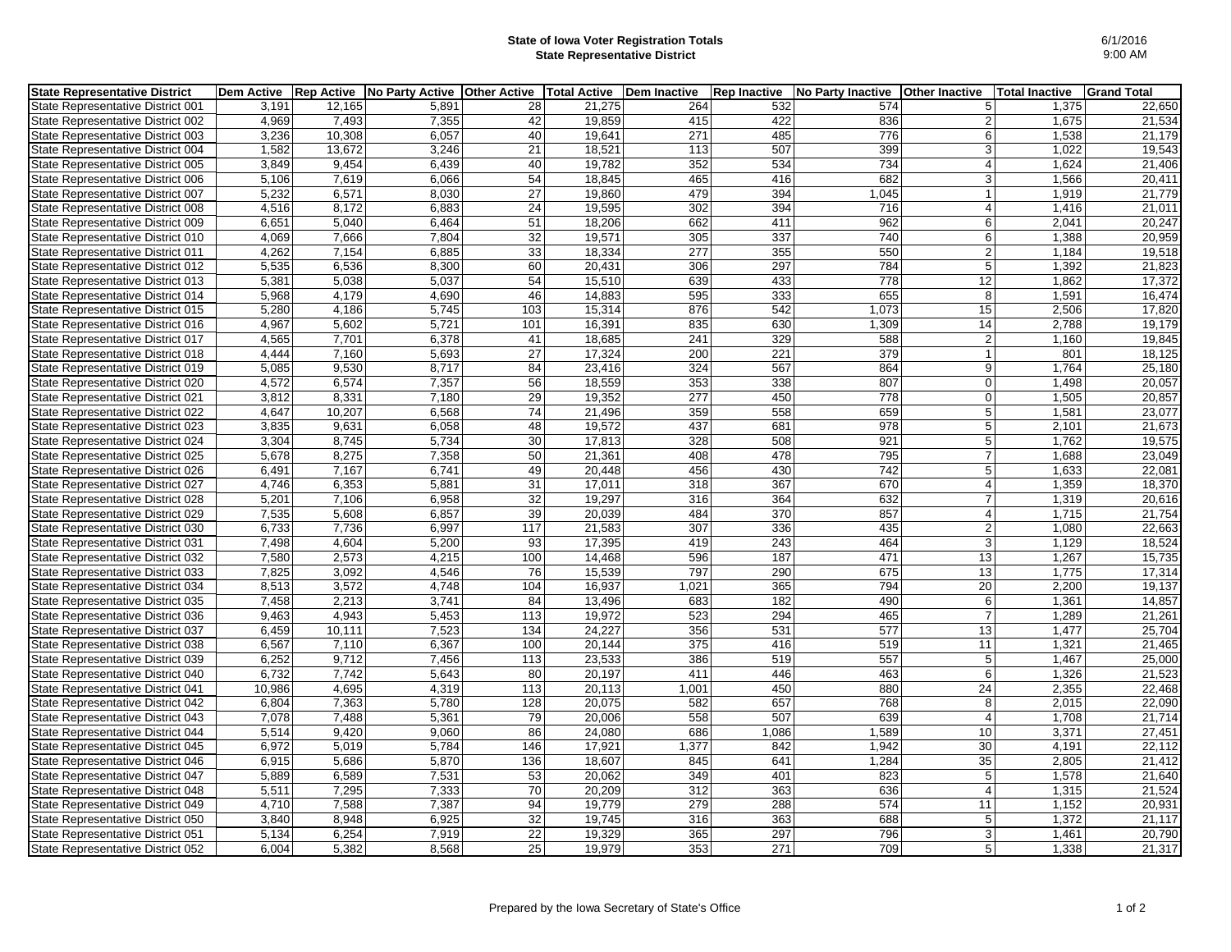## **State of Iowa Voter Registration Totals State Representative District**

| <b>State Representative District</b> | <b>Dem Active</b> | <b>Rep Active</b> | No Party Active | <b>Other Active</b> | <b>Total Active</b> | <b>Dem Inactive</b> | <b>Rep Inactive</b> | No Party Inactive | <b>Other Inactive</b> | <b>Total Inactive</b> | <b>Grand Total</b> |
|--------------------------------------|-------------------|-------------------|-----------------|---------------------|---------------------|---------------------|---------------------|-------------------|-----------------------|-----------------------|--------------------|
| State Representative District 001    | 3,191             | 12,165            | 5,891           | 28                  | 21,275              | 264                 | 532                 | 574               | 51                    | 1,375                 | 22,650             |
| State Representative District 002    | 4,969             | 7,493             | 7,355           | 42                  | 19,859              | 415                 | 422                 | 836               | 2                     | 1,675                 | 21,534             |
| State Representative District 003    | 3,236             | 10,308            | 6,057           | 40                  | 19,641              | 271                 | 485                 | 776               | 6                     | 1,538                 | 21,179             |
| State Representative District 004    | 1,582             | 13,672            | 3,246           | 21                  | 18,521              | 113                 | 507                 | 399               | 3 <sup>1</sup>        | 1.022                 | 19,543             |
| State Representative District 005    | 3,849             | 9,454             | 6,439           | 40                  | 19,782              | 352                 | 534                 | 734               | $\vert$               | 1,624                 | 21,406             |
| State Representative District 006    | 5,106             | 7,619             | 6,066           | 54                  | 18,845              | 465                 | 416                 | 682               | 3 <sup>1</sup>        | 1,566                 | 20,411             |
| State Representative District 007    | 5,232             | 6,571             | 8.030           | $\overline{27}$     | 19,860              | 479                 | 394                 | 1,045             | 1                     | 1,919                 | 21,779             |
| State Representative District 008    | 4,516             | 8,172             | 6,883           | 24                  | 19,595              | 302                 | 394                 | 716               | $\vert$               | 1,416                 | 21,011             |
| State Representative District 009    | 6,651             | 5,040             | 6,464           | 51                  | 18,206              | 662                 | 411                 | 962               | 6                     | 2,041                 | 20,247             |
| State Representative District 010    | 4,069             | 7.666             | 7.804           | 32                  | 19,571              | 305                 | 337                 | 740               | 6 <sup>1</sup>        | 1,388                 | 20,959             |
| State Representative District 011    | 4,262             | 7,154             | 6,885           | $\overline{33}$     | 18,334              | 277                 | 355                 | 550               | $\overline{2}$        | 1,184                 | 19,518             |
| State Representative District 012    | 5,535             | 6,536             | 8,300           | 60                  | 20,431              | 306                 | 297                 | 784               | 5 <sup>1</sup>        | 1,392                 | 21,823             |
| State Representative District 013    | 5,381             | 5,038             | 5,037           | 54                  | 15,510              | 639                 | 433                 | 778               | 12                    | 1,862                 | 17,372             |
| State Representative District 014    | 5,968             | 4,179             | 4,690           | 46                  | 14,883              | 595                 | 333                 | 655               | 8 <sup>1</sup>        | 1,591                 | 16,474             |
| State Representative District 015    | 5,280             | 4.186             | 5.745           | 103                 | 15,314              | 876                 | 542                 | 1.073             | 15                    | 2,506                 | 17,820             |
| State Representative District 016    | 4,967             | 5,602             | 5,721           | 101                 | 16,391              | 835                 | 630                 | 1,309             | 14                    | 2,788                 | 19,179             |
| State Representative District 017    | 4,565             | 7,701             | 6,378           | 41                  | 18,685              | 241                 | 329                 | 588               | $\overline{2}$        | 1,160                 | 19,845             |
| State Representative District 018    | 4,444             | 7,160             | 5,693           | $\overline{27}$     | 17,324              | 200                 | 221                 | 379               | 1                     | 801                   | 18,125             |
| State Representative District 019    | 5,085             | 9,530             | 8,717           | 84                  | 23,416              | 324                 | 567                 | 864               | 9                     | 1,764                 | 25,180             |
| State Representative District 020    | 4,572             | 6,574             | 7,357           | 56                  | 18,559              | 353                 | 338                 | 807               | $\Omega$              | 1,498                 | 20,057             |
| State Representative District 021    | 3,812             | 8,331             | 7,180           | 29                  | 19,352              | 277                 | 450                 | 778               | $\overline{0}$        | 1,505                 | 20,857             |
| State Representative District 022    | 4,647             | 10,207            | 6,568           | 74                  | 21,496              | 359                 | 558                 | 659               | 5 <sup>1</sup>        | 1,581                 | 23,077             |
| State Representative District 023    | 3,835             | 9,631             | 6,058           | 48                  | 19,572              | 437                 | 681                 | 978               | 5 <sup>1</sup>        | 2,101                 | 21,673             |
| State Representative District 024    | 3,304             | 8,745             | 5,734           | 30                  | 17,813              | 328                 | 508                 | 921               | 5 <sup>1</sup>        | 1,762                 | 19,575             |
| State Representative District 025    | 5,678             | 8,275             | 7,358           | 50                  | 21,361              | 408                 | 478                 | 795               | $\overline{7}$        | 1,688                 | 23,049             |
| State Representative District 026    | 6,491             | 7,167             | 6,741           | 49                  | 20,448              | 456                 | 430                 | 742               | 5 <sup>1</sup>        | 1,633                 | 22,081             |
| State Representative District 027    | 4,746             | 6,353             | 5,881           | 31                  | 17,011              | 318                 | 367                 | 670               | 4 <sup>1</sup>        | 1,359                 | 18,370             |
| State Representative District 028    | 5,201             | 7,106             | 6,958           | 32                  | 19,297              | 316                 | 364                 | 632               | $\overline{7}$        | 1,319                 | 20,616             |
| State Representative District 029    | 7,535             | 5,608             | 6,857           | 39                  | 20,039              | 484                 | 370                 | 857               | $\vert$               | 1,715                 | 21,754             |
| State Representative District 030    | 6,733             | 7,736             | 6,997           | 117                 | 21,583              | 307                 | 336                 | 435               | $\overline{2}$        | 1,080                 | 22,663             |
| State Representative District 031    | 7,498             | 4,604             | 5,200           | 93                  | 17,395              | 419                 | 243                 | 464               | $\overline{3}$        | 1,129                 | 18,524             |
| State Representative District 032    | 7,580             | 2,573             | 4,215           | 100                 | 14.468              | 596                 | 187                 | 471               | 13                    | 1,267                 | 15,735             |
| State Representative District 033    | 7,825             | 3,092             | 4,546           | 76                  | 15,539              | 797                 | 290                 | 675               | 13                    | 1,775                 | 17,314             |
| State Representative District 034    | 8,513             | 3,572             | 4,748           | 104                 | 16,937              | 1,021               | 365                 | 794               | 20 <sup>2</sup>       | 2,200                 | 19,137             |
| State Representative District 035    | 7,458             | 2,213             | 3,741           | 84                  | 13,496              | 683                 | 182                 | 490               | 6 <sup>1</sup>        | 1,361                 | 14,857             |
| State Representative District 036    | 9,463             | 4,943             | 5,453           | 113                 | 19,972              | 523                 | 294                 | 465               | $\overline{7}$        | 1,289                 | 21,261             |
| State Representative District 037    | 6,459             | 10,111            | 7,523           | 134                 | 24,227              | 356                 | 531                 | 577               | 13                    | 1,477                 | 25,704             |
| State Representative District 038    | 6,567             | 7,110             | 6,367           | 100                 | 20,144              | 375                 | 416                 | 519               | 11                    | 1,321                 | 21,465             |
| State Representative District 039    | 6,252             | 9,712             | 7,456           | 113                 | 23,533              | 386                 | 519                 | 557               | 5 <sup>1</sup>        | 1,467                 | 25,000             |
| State Representative District 040    | 6,732             | 7,742             | 5,643           | 80                  | 20,197              | 411                 | 446                 | 463               | 6 <sup>1</sup>        | 1,326                 | 21,523             |
| State Representative District 041    | 10,986            | 4,695             | 4,319           | 113                 | 20,113              | 1,001               | 450                 | 880               | 24                    | 2,355                 | 22,468             |
| State Representative District 042    | 6,804             | 7,363             | 5,780           | 128                 | 20,075              | 582                 | 657                 | 768               | 8 <sup>1</sup>        | 2,015                 | 22,090             |
| State Representative District 043    | 7.078             | 7,488             | 5,361           | 79                  | 20,006              | 558                 | 507                 | 639               | 4 <sup>1</sup>        | 1.708                 | 21,714             |
| State Representative District 044    | 5,514             | 9,420             | 9,060           | 86                  | 24,080              | 686                 | 1,086               | 1,589             | 10 <sup>1</sup>       | 3,371                 | 27,451             |
| State Representative District 045    | 6,972             | 5,019             | 5,784           | 146                 | 17,921              | 1,377               | 842                 | 1,942             | 30                    | 4,191                 | 22,112             |
| State Representative District 046    | 6,915             | 5,686             | 5,870           | 136                 | 18,607              | 845                 | 641                 | 1,284             | 35                    | 2,805                 | 21,412             |
| State Representative District 047    | 5,889             | 6,589             | 7,531           | 53                  | 20,062              | 349                 | 401                 | 823               | 5 <sub>5</sub>        | 1,578                 | 21,640             |
| State Representative District 048    | 5,511             | 7,295             | 7,333           | 70                  | 20,209              | 312                 | 363                 | 636               | $\vert$               | 1,315                 | 21,524             |
| State Representative District 049    | 4,710             | 7,588             | 7,387           | 94                  | 19,779              | 279                 | 288                 | 574               | 11                    | 1,152                 | 20,931             |
| State Representative District 050    | 3,840             | 8,948             | 6,925           | 32                  | 19,745              | 316                 | 363                 | 688               | 5 <sub>5</sub>        | 1,372                 | 21,117             |
| State Representative District 051    | 5.134             | 6.254             | 7.919           | 22                  | 19,329              | 365                 | 297                 | 796               | 3                     | 1.461                 | 20,790             |
| State Representative District 052    | 6,004             | 5,382             | 8,568           | 25                  | 19,979              | 353                 | 271                 | 709               | 5 <sup>1</sup>        | 1,338                 | 21,317             |